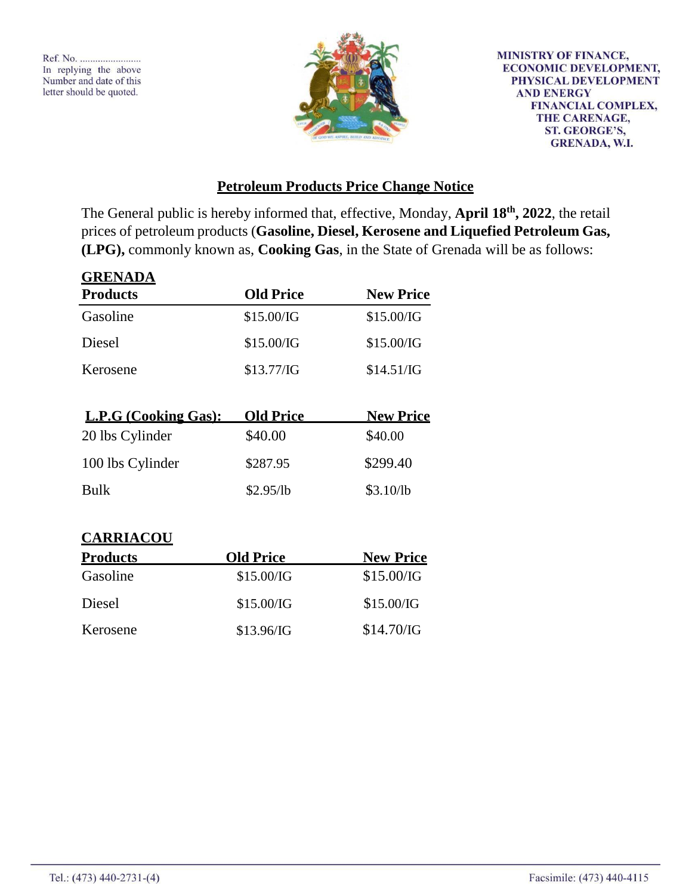**GRENADA**



**MINISTRY OF FINANCE, ECONOMIC DEVELOPMENT,** PHYSICAL DEVELOPMENT **AND ENERGY FINANCIAL COMPLEX,** THE CARENAGE, **ST. GEORGE'S, GRENADA, W.I.** 

## **Petroleum Products Price Change Notice**

The General public is hereby informed that, effective, Monday, **April 18th , 2022**, the retail prices of petroleum products (**Gasoline, Diesel, Kerosene and Liquefied Petroleum Gas, (LPG),** commonly known as, **Cooking Gas**, in the State of Grenada will be as follows:

| <u> 1121 (112)</u><br><b>Products</b> | <b>Old Price</b> | <b>New Price</b> |
|---------------------------------------|------------------|------------------|
| Gasoline                              | \$15.00/IG       | \$15.00/IG       |
| Diesel                                | \$15.00/IG       | \$15.00/IG       |
| Kerosene                              | \$13.77/G        | \$14.51/IG       |
|                                       |                  |                  |
| L.P.G (Cooking Gas):                  | <b>Old Price</b> | <b>New Price</b> |
| 20 lbs Cylinder                       | \$40.00          | \$40.00          |
| 100 lbs Cylinder                      | \$287.95         | \$299.40         |
| <b>Bulk</b>                           | \$2.95/lb        | \$3.10/lb        |
| <b>CARRIACOU</b>                      |                  |                  |
| <b>Products</b>                       | <b>Old Price</b> | <b>New Price</b> |
| Gasoline                              | \$1500/G         | \$15 00/IG       |

|                    | 11600 L LIG |
|--------------------|-------------|
| \$15.00/G          | \$15.00/G   |
| \$15.00/G          | \$15.00/IG  |
| $$13.96/\text{IG}$ | \$14.70/G   |
|                    | va i ne     |